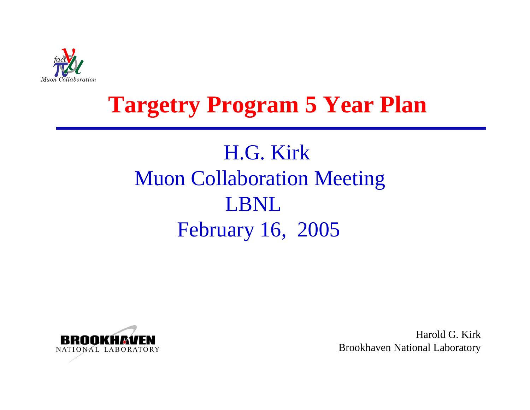

## **Targetry Program 5 Year Plan**

## H.G. KirkMuon Collaboration Meeting LBNLFebruary 16, 2005



Harold G. KirkBrookhaven National Laboratory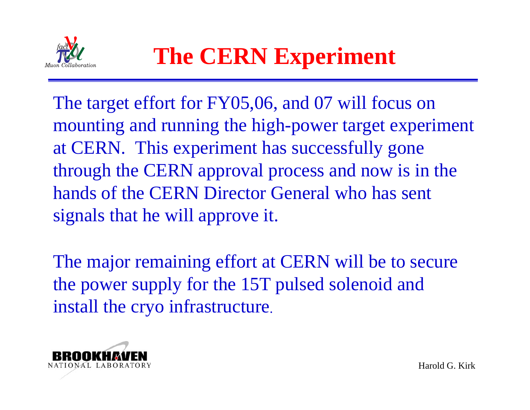

The target effort for FY05,06, and 07 will focus on mounting and running the high-power target experiment at CERN. This experiment has successfully gone through the CERN approval process and now is in the hands of the CERN Director General who has sent signals that he will approve it.

The major remaining effort at CERN will be to secure the power supply for the 15T pulsed solenoid and install the cryo infrastructure.

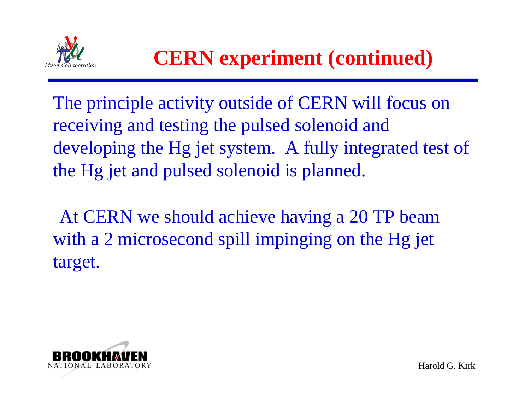

## **CERN experiment (continued)**

The principle activity outside of CERN will focus on receiving and testing the pulsed solenoid and developing the Hg jet system. A fully integrated test of the Hg jet and pulsed solenoid is planned.

At CERN we should achieve having a 20 TP beam with a 2 microsecond spill impinging on the Hg jet target.

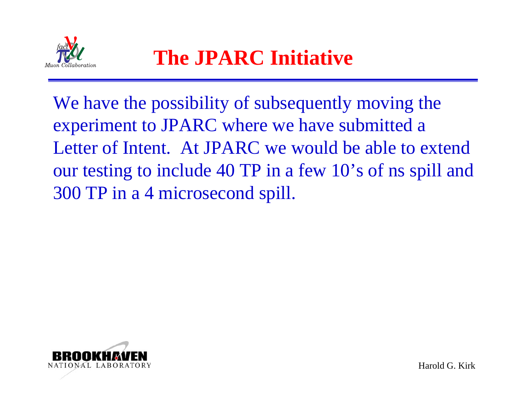

We have the possibility of subsequently moving the experiment to JPARC where we have submitted a Letter of Intent. At JPARC we would be able to extend our testing to include 40 TP in a few 10's of ns spill and 300 TP in a 4 microsecond spill.



Harold G. Kirk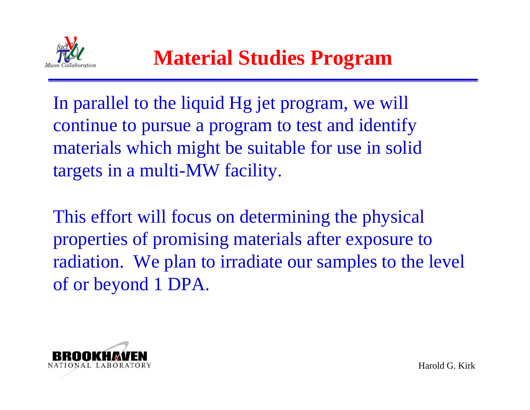

In parallel to the liquid Hg jet program, we will continue to pursue a program to test and identify materials which might be suitable for use in solid targets in a multi-MW facility.

This effort will focus on determining the physical properties of promising materials after exposure to radiation. We plan to irradiate our samples to the level of or beyond 1 DPA.